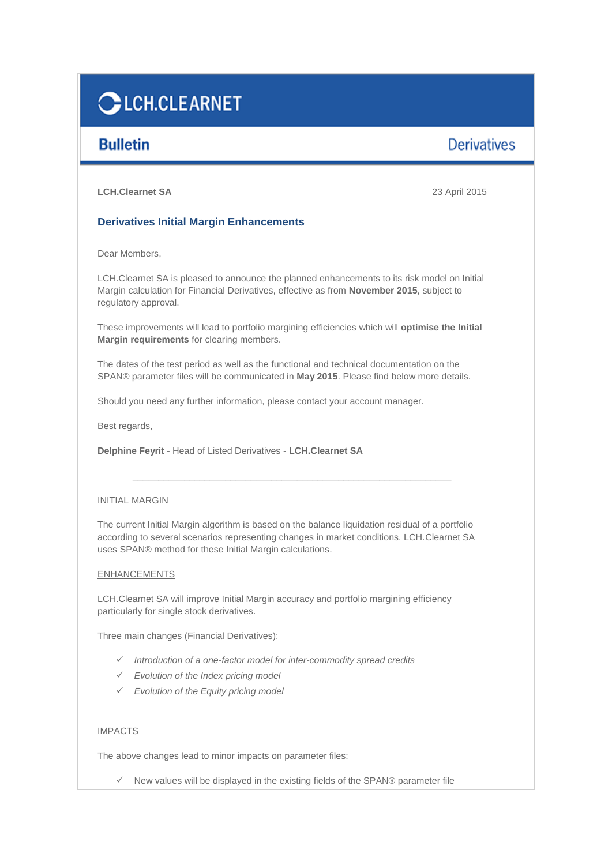# **CLCH.CLEARNET**

# **Bulletin**

# **Derivatives**

**LCH.Clearnet SA** 23 April 2015

## **Derivatives Initial Margin Enhancements**

Dear Members,

LCH.Clearnet SA is pleased to announce the planned enhancements to its risk model on Initial Margin calculation for Financial Derivatives, effective as from **November 2015**, subject to regulatory approval.

These improvements will lead to portfolio margining efficiencies which will **optimise the Initial Margin requirements** for clearing members.

The dates of the test period as well as the functional and technical documentation on the SPAN® parameter files will be communicated in **May 2015**. Please find below more details.

Should you need any further information, please contact your account manager.

Best regards,

**Delphine Feyrit** - Head of Listed Derivatives - **LCH.Clearnet SA**

## INITIAL MARGIN

The current Initial Margin algorithm is based on the balance liquidation residual of a portfolio according to several scenarios representing changes in market conditions. LCH.Clearnet SA uses SPAN® method for these Initial Margin calculations.

\_\_\_\_\_\_\_\_\_\_\_\_\_\_\_\_\_\_\_\_\_\_\_\_\_\_\_\_\_\_\_\_\_\_\_\_\_\_\_\_\_\_\_\_\_\_\_\_\_\_\_\_\_\_\_\_\_\_\_\_\_\_

## ENHANCEMENTS

LCH.Clearnet SA will improve Initial Margin accuracy and portfolio margining efficiency particularly for single stock derivatives.

Three main changes (Financial Derivatives):

- *Introduction of a one-factor model for inter-commodity spread credits*
- *Evolution of the Index pricing model*
- *Evolution of the Equity pricing model*

## IMPACTS

The above changes lead to minor impacts on parameter files:

 $\checkmark$  New values will be displayed in the existing fields of the SPAN® parameter file